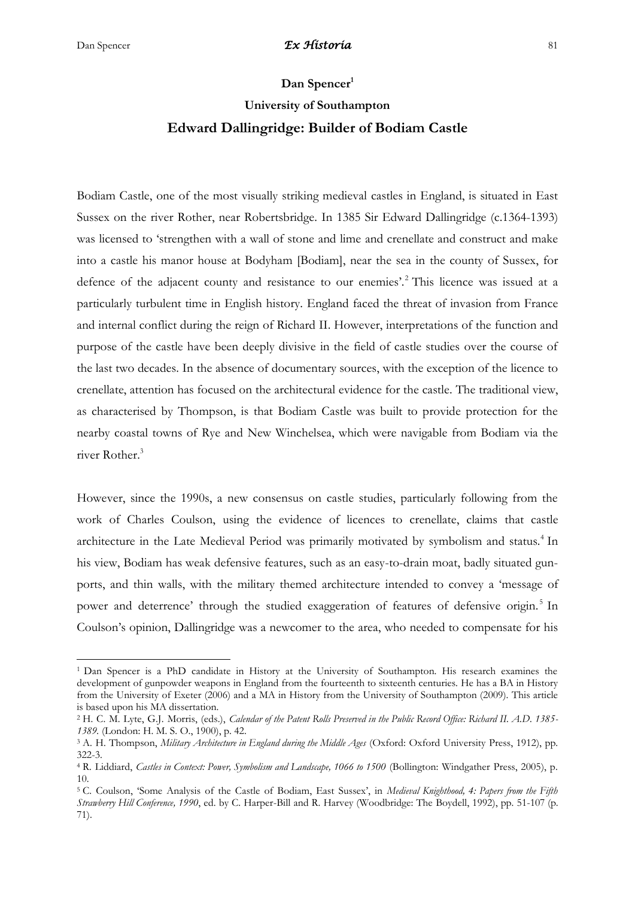**.** 

## **Dan Spencer<sup>1</sup>**

# **University of Southampton Edward Dallingridge: Builder of Bodiam Castle**

Bodiam Castle, one of the most visually striking medieval castles in England, is situated in East Sussex on the river Rother, near Robertsbridge. In 1385 Sir Edward Dallingridge (c.1364-1393) was licensed to 'strengthen with a wall of stone and lime and crenellate and construct and make into a castle his manor house at Bodyham [Bodiam], near the sea in the county of Sussex, for defence of the adjacent county and resistance to our enemies'.<sup>2</sup> This licence was issued at a particularly turbulent time in English history. England faced the threat of invasion from France and internal conflict during the reign of Richard II. However, interpretations of the function and purpose of the castle have been deeply divisive in the field of castle studies over the course of the last two decades. In the absence of documentary sources, with the exception of the licence to crenellate, attention has focused on the architectural evidence for the castle. The traditional view, as characterised by Thompson, is that Bodiam Castle was built to provide protection for the nearby coastal towns of Rye and New Winchelsea, which were navigable from Bodiam via the river Rother.<sup>3</sup>

However, since the 1990s, a new consensus on castle studies, particularly following from the work of Charles Coulson, using the evidence of licences to crenellate, claims that castle architecture in the Late Medieval Period was primarily motivated by symbolism and status.<sup>4</sup> In his view, Bodiam has weak defensive features, such as an easy-to-drain moat, badly situated gunports, and thin walls, with the military themed architecture intended to convey a 'message of power and deterrence' through the studied exaggeration of features of defensive origin.<sup>5</sup> In Coulson's opinion, Dallingridge was a newcomer to the area, who needed to compensate for his

<sup>1</sup> Dan Spencer is a PhD candidate in History at the University of Southampton. His research examines the development of gunpowder weapons in England from the fourteenth to sixteenth centuries. He has a BA in History from the University of Exeter (2006) and a MA in History from the University of Southampton (2009). This article is based upon his MA dissertation.

<sup>2</sup> H. C. M. Lyte, G.J. Morris, (eds.), *Calendar of the Patent Rolls Preserved in the Public Record Office: Richard II. A.D. 1385- 1389.* (London: H. M. S. O., 1900), p. 42.

<sup>3</sup> A. H. Thompson, *Military Architecture in England during the Middle Ages* (Oxford: Oxford University Press, 1912), pp. 322-3.

<sup>4</sup> R. Liddiard, *Castles in Context: Power, Symbolism and Landscape, 1066 to 1500* (Bollington: Windgather Press, 2005), p. 10.

<sup>5</sup> C. Coulson, 'Some Analysis of the Castle of Bodiam, East Sussex', in *Medieval Knighthood, 4: Papers from the Fifth Strawberry Hill Conference, 1990*, ed. by C. Harper-Bill and R. Harvey (Woodbridge: The Boydell, 1992), pp. 51-107 (p. 71).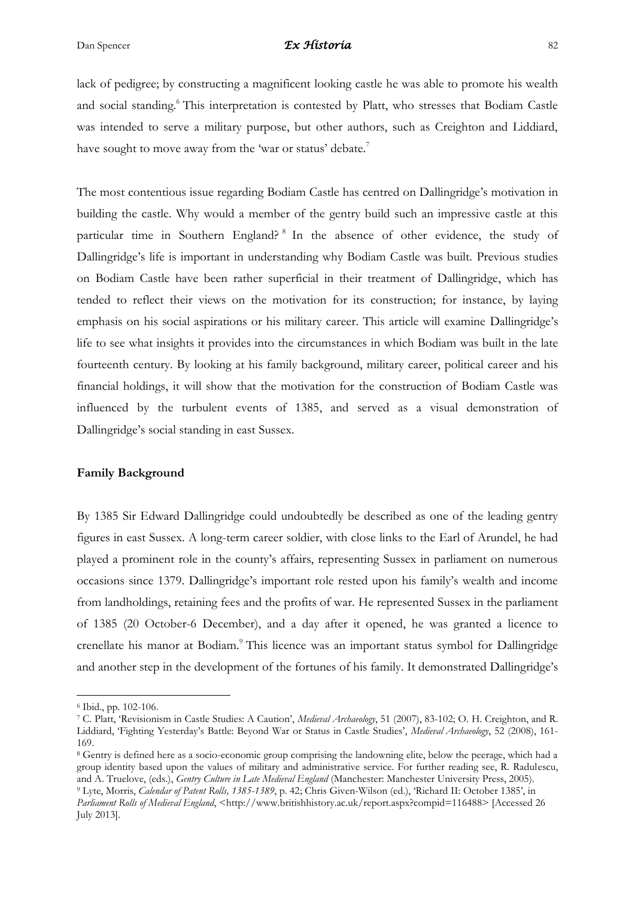lack of pedigree; by constructing a magnificent looking castle he was able to promote his wealth and social standing.<sup>6</sup> This interpretation is contested by Platt, who stresses that Bodiam Castle was intended to serve a military purpose, but other authors, such as Creighton and Liddiard, have sought to move away from the 'war or status' debate.<sup>7</sup>

The most contentious issue regarding Bodiam Castle has centred on Dallingridge's motivation in building the castle. Why would a member of the gentry build such an impressive castle at this particular time in Southern England?<sup>8</sup> In the absence of other evidence, the study of Dallingridge's life is important in understanding why Bodiam Castle was built. Previous studies on Bodiam Castle have been rather superficial in their treatment of Dallingridge, which has tended to reflect their views on the motivation for its construction; for instance, by laying emphasis on his social aspirations or his military career. This article will examine Dallingridge's life to see what insights it provides into the circumstances in which Bodiam was built in the late fourteenth century. By looking at his family background, military career, political career and his financial holdings, it will show that the motivation for the construction of Bodiam Castle was influenced by the turbulent events of 1385, and served as a visual demonstration of Dallingridge's social standing in east Sussex.

## **Family Background**

By 1385 Sir Edward Dallingridge could undoubtedly be described as one of the leading gentry figures in east Sussex. A long-term career soldier, with close links to the Earl of Arundel, he had played a prominent role in the county's affairs, representing Sussex in parliament on numerous occasions since 1379. Dallingridge's important role rested upon his family's wealth and income from landholdings, retaining fees and the profits of war. He represented Sussex in the parliament of 1385 (20 October-6 December), and a day after it opened, he was granted a licence to crenellate his manor at Bodiam.<sup>9</sup> This licence was an important status symbol for Dallingridge and another step in the development of the fortunes of his family. It demonstrated Dallingridge's

July 2013].

**.** 

<sup>8</sup> Gentry is defined here as a socio-economic group comprising the landowning elite, below the peerage, which had a group identity based upon the values of military and administrative service. For further reading see, R. Radulescu, and A. Truelove, (eds.), *Gentry Culture in Late Medieval England* (Manchester: Manchester University Press, 2005). <sup>9</sup> Lyte, Morris, *Calendar of Patent Rolls, 1385-1389*, p. 42; Chris Given-Wilson (ed.), 'Richard II: October 1385', in *Parliament Rolls of Medieval England*, <http://www.britishhistory.ac.uk/report.aspx?compid=116488> [Accessed 26

<sup>6</sup> Ibid., pp. 102-106.

<sup>7</sup> C. Platt, 'Revisionism in Castle Studies: A Caution', *Medieval Archaeology*, 51 (2007), 83-102; O. H. Creighton, and R. Liddiard, 'Fighting Yesterday's Battle: Beyond War or Status in Castle Studies', *Medieval Archaeology*, 52 (2008), 161- 169.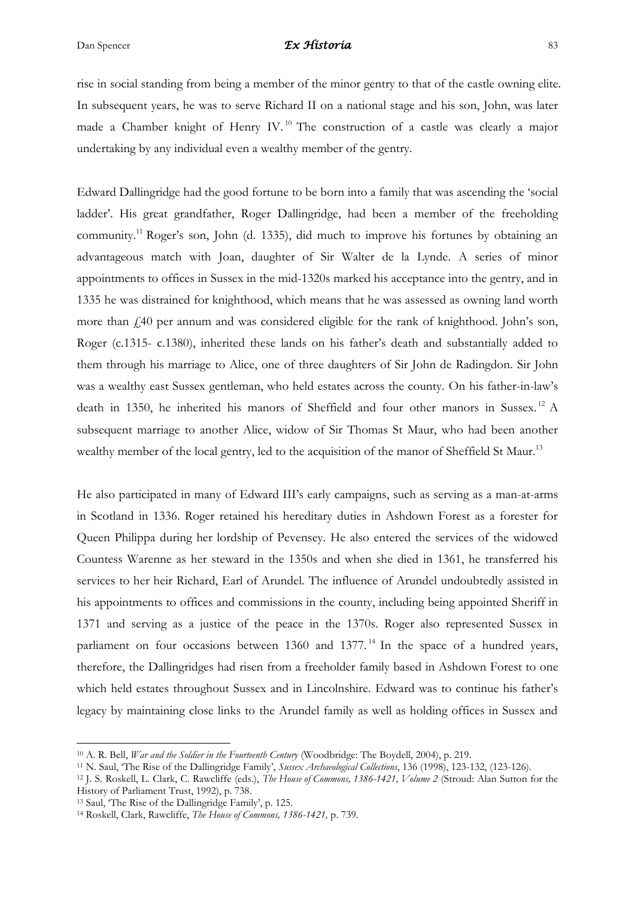rise in social standing from being a member of the minor gentry to that of the castle owning elite. In subsequent years, he was to serve Richard II on a national stage and his son, John, was later made a Chamber knight of Henry IV.<sup>10</sup> The construction of a castle was clearly a major undertaking by any individual even a wealthy member of the gentry.

Edward Dallingridge had the good fortune to be born into a family that was ascending the 'social ladder'. His great grandfather, Roger Dallingridge, had been a member of the freeholding community.<sup>11</sup> Roger's son, John (d. 1335), did much to improve his fortunes by obtaining an advantageous match with Joan, daughter of Sir Walter de la Lynde. A series of minor appointments to offices in Sussex in the mid-1320s marked his acceptance into the gentry, and in 1335 he was distrained for knighthood, which means that he was assessed as owning land worth more than £40 per annum and was considered eligible for the rank of knighthood. John's son, Roger (c.1315- c.1380), inherited these lands on his father's death and substantially added to them through his marriage to Alice, one of three daughters of Sir John de Radingdon. Sir John was a wealthy east Sussex gentleman, who held estates across the county. On his father-in-law's death in 1350, he inherited his manors of Sheffield and four other manors in Sussex. <sup>12</sup> A subsequent marriage to another Alice, widow of Sir Thomas St Maur, who had been another wealthy member of the local gentry, led to the acquisition of the manor of Sheffield St Maur.<sup>13</sup>

He also participated in many of Edward III's early campaigns, such as serving as a man-at-arms in Scotland in 1336. Roger retained his hereditary duties in Ashdown Forest as a forester for Queen Philippa during her lordship of Pevensey. He also entered the services of the widowed Countess Warenne as her steward in the 1350s and when she died in 1361, he transferred his services to her heir Richard, Earl of Arundel. The influence of Arundel undoubtedly assisted in his appointments to offices and commissions in the county, including being appointed Sheriff in 1371 and serving as a justice of the peace in the 1370s. Roger also represented Sussex in parliament on four occasions between  $1360$  and  $1377$ .<sup>14</sup> In the space of a hundred years, therefore, the Dallingridges had risen from a freeholder family based in Ashdown Forest to one which held estates throughout Sussex and in Lincolnshire. Edward was to continue his father's legacy by maintaining close links to the Arundel family as well as holding offices in Sussex and

<sup>10</sup> A. R. Bell, *War and the Soldier in the Fourteenth Century* (Woodbridge: The Boydell, 2004), p. 219.

<sup>11</sup> N. Saul, 'The Rise of the Dallingridge Family', *Sussex Archaeological Collections*, 136 (1998), 123-132, (123-126).

<sup>12</sup> J. S. Roskell, L. Clark, C. Rawcliffe (eds.), *The House of Commons, 1386-1421, Volume 2* (Stroud: Alan Sutton for the History of Parliament Trust, 1992), p. 738.

<sup>13</sup> Saul, 'The Rise of the Dallingridge Family', p. 125.

<sup>14</sup> Roskell, Clark, Rawcliffe, *The House of Commons, 1386-1421,* p. 739.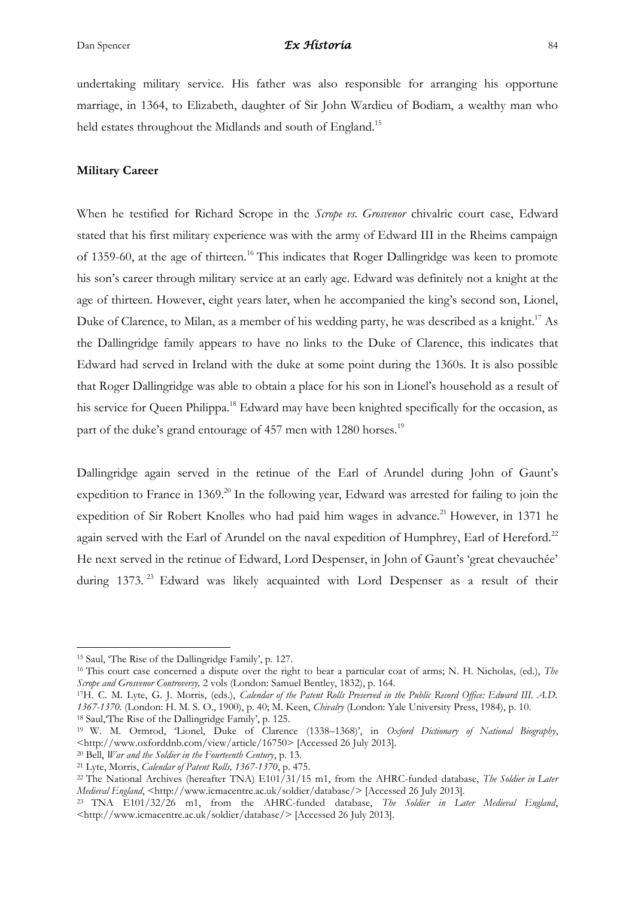undertaking military service. His father was also responsible for arranging his opportune marriage, in 1364, to Elizabeth, daughter of Sir John Wardieu of Bodiam, a wealthy man who held estates throughout the Midlands and south of England.<sup>15</sup>

#### **Military Career**

When he testified for Richard Scrope in the *Scrope vs. Grosvenor* chivalric court case, Edward stated that his first military experience was with the army of Edward III in the Rheims campaign of 1359-60, at the age of thirteen.<sup>16</sup> This indicates that Roger Dallingridge was keen to promote his son's career through military service at an early age. Edward was definitely not a knight at the age of thirteen. However, eight years later, when he accompanied the king's second son, Lionel, Duke of Clarence, to Milan, as a member of his wedding party, he was described as a knight.<sup>17</sup> As the Dallingridge family appears to have no links to the Duke of Clarence, this indicates that Edward had served in Ireland with the duke at some point during the 1360s. It is also possible that Roger Dallingridge was able to obtain a place for his son in Lionel's household as a result of his service for Queen Philippa.<sup>18</sup> Edward may have been knighted specifically for the occasion, as part of the duke's grand entourage of 457 men with 1280 horses.<sup>19</sup>

Dallingridge again served in the retinue of the Earl of Arundel during John of Gaunt's expedition to France in 1369.<sup>20</sup> In the following year, Edward was arrested for failing to join the expedition of Sir Robert Knolles who had paid him wages in advance.<sup>21</sup> However, in 1371 he again served with the Earl of Arundel on the naval expedition of Humphrey, Earl of Hereford.<sup>22</sup> He next served in the retinue of Edward, Lord Despenser, in John of Gaunt's 'great chevauchée' during 1373.<sup>23</sup> Edward was likely acquainted with Lord Despenser as a result of their

**.** 

<sup>17</sup>H. C. M. Lyte, G. J. Morris, (eds.), *Calendar of the Patent Rolls Preserved in the Public Record Office: Edward III. A.D. 1367-1370.* (London: H. M. S. O., 1900), p. 40; M. Keen, *Chivalry* (London: Yale University Press, 1984), p. 10. <sup>18</sup> Saul,'The Rise of the Dallingridge Family', p. 125.

<sup>15</sup> Saul, 'The Rise of the Dallingridge Family', p. 127.

<sup>16</sup> This court case concerned a dispute over the right to bear a particular coat of arms; N. H. Nicholas, (ed.), *The Scrope and Grosvenor Controversy,* 2 vols (London: Samuel Bentley, 1832), p. 164.

<sup>19</sup> W. M. Ormrod, 'Lionel, Duke of Clarence (1338–1368)', in *Oxford Dictionary of National Biography*, <http://www.oxforddnb.com/view/article/16750> [Accessed 26 July 2013].

<sup>20</sup> Bell, *War and the Soldier in the Fourteenth Century*, p. 13.

<sup>21</sup> Lyte, Morris, *Calendar of Patent Rolls, 1367-1370*, p. 475.

<sup>22</sup> The National Archives (hereafter TNA) E101/31/15 m1, from the AHRC-funded database, *The Soldier in Later Medieval England*, <http://www.icmacentre.ac.uk/soldier/database/> [Accessed 26 July 2013].

<sup>23</sup> TNA E101/32/26 m1, from the AHRC-funded database, *The Soldier in Later Medieval England*, <http://www.icmacentre.ac.uk/soldier/database/> [Accessed 26 July 2013].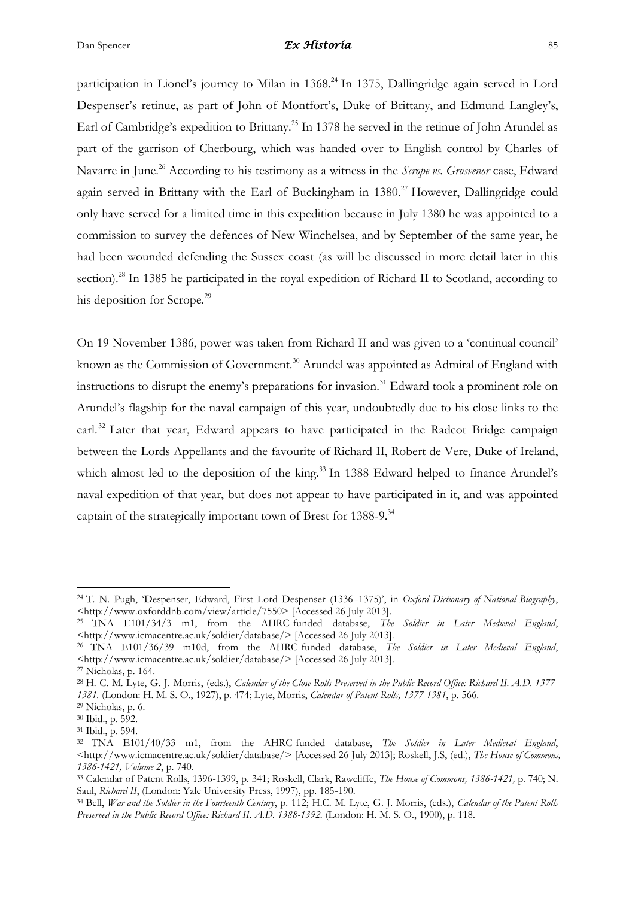participation in Lionel's journey to Milan in 1368.<sup>24</sup> In 1375, Dallingridge again served in Lord Despenser's retinue, as part of John of Montfort's, Duke of Brittany, and Edmund Langley's, Earl of Cambridge's expedition to Brittany.<sup>25</sup> In 1378 he served in the retinue of John Arundel as part of the garrison of Cherbourg, which was handed over to English control by Charles of Navarre in June.<sup>26</sup> According to his testimony as a witness in the *Scrope vs. Grosvenor* case, Edward again served in Brittany with the Earl of Buckingham in 1380.<sup>27</sup> However, Dallingridge could only have served for a limited time in this expedition because in July 1380 he was appointed to a commission to survey the defences of New Winchelsea, and by September of the same year, he had been wounded defending the Sussex coast (as will be discussed in more detail later in this section).<sup>28</sup> In 1385 he participated in the royal expedition of Richard II to Scotland, according to his deposition for Scrope.<sup>29</sup>

On 19 November 1386, power was taken from Richard II and was given to a 'continual council' known as the Commission of Government.<sup>30</sup> Arundel was appointed as Admiral of England with instructions to disrupt the enemy's preparations for invasion.<sup>31</sup> Edward took a prominent role on Arundel's flagship for the naval campaign of this year, undoubtedly due to his close links to the earl.<sup>32</sup> Later that year, Edward appears to have participated in the Radcot Bridge campaign between the Lords Appellants and the favourite of Richard II, Robert de Vere, Duke of Ireland, which almost led to the deposition of the king.<sup>33</sup> In 1388 Edward helped to finance Arundel's naval expedition of that year, but does not appear to have participated in it, and was appointed captain of the strategically important town of Brest for 1388-9.<sup>34</sup>

<sup>24</sup> T. N. Pugh, 'Despenser, Edward, First Lord Despenser (1336–1375)', in *Oxford Dictionary of National Biography*, <http://www.oxforddnb.com/view/article/7550> [Accessed 26 July 2013].

<sup>25</sup> TNA E101/34/3 m1, from the AHRC-funded database, *The Soldier in Later Medieval England*, <http://www.icmacentre.ac.uk/soldier/database/> [Accessed 26 July 2013].

<sup>26</sup> TNA E101/36/39 m10d, from the AHRC-funded database, *The Soldier in Later Medieval England*, <http://www.icmacentre.ac.uk/soldier/database/> [Accessed 26 July 2013].

<sup>27</sup> Nicholas, p. 164.

<sup>28</sup> H. C. M. Lyte, G. J. Morris, (eds.), *Calendar of the Close Rolls Preserved in the Public Record Office: Richard II. A.D. 1377- 1381.* (London: H. M. S. O., 1927), p. 474; Lyte, Morris, *Calendar of Patent Rolls, 1377-1381*, p. 566.

 $29$  Nicholas, p. 6.

<sup>30</sup> Ibid., p. 592.

<sup>31</sup> Ibid., p. 594.

<sup>32</sup> TNA E101/40/33 m1, from the AHRC-funded database, *The Soldier in Later Medieval England*, <http://www.icmacentre.ac.uk/soldier/database/> [Accessed 26 July 2013]; Roskell, J.S, (ed.), *The House of Commons, 1386-1421, Volume 2*, p. 740.

<sup>33</sup> Calendar of Patent Rolls, 1396-1399, p. 341; Roskell, Clark, Rawcliffe, *The House of Commons, 1386-1421,* p. 740; N. Saul, *Richard II*, (London: Yale University Press, 1997), pp. 185-190.

<sup>34</sup> Bell, *War and the Soldier in the Fourteenth Century*, p. 112; H.C. M. Lyte, G. J. Morris, (eds.), *Calendar of the Patent Rolls Preserved in the Public Record Office: Richard II. A.D. 1388-1392.* (London: H. M. S. O., 1900), p. 118.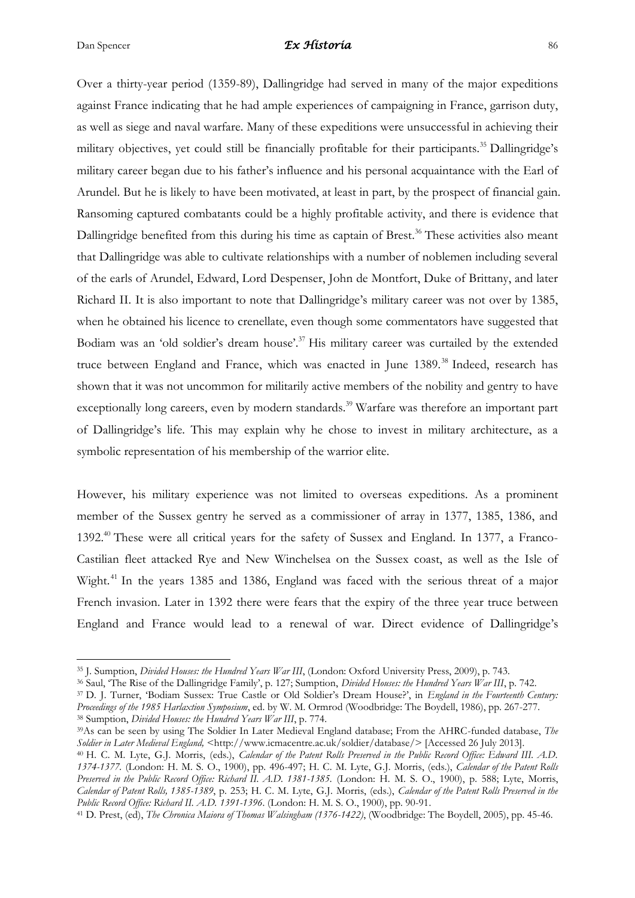Over a thirty-year period (1359-89), Dallingridge had served in many of the major expeditions against France indicating that he had ample experiences of campaigning in France, garrison duty, as well as siege and naval warfare. Many of these expeditions were unsuccessful in achieving their military objectives, yet could still be financially profitable for their participants. <sup>35</sup> Dallingridge's military career began due to his father's influence and his personal acquaintance with the Earl of Arundel. But he is likely to have been motivated, at least in part, by the prospect of financial gain. Ransoming captured combatants could be a highly profitable activity, and there is evidence that Dallingridge benefited from this during his time as captain of Brest.<sup>36</sup> These activities also meant that Dallingridge was able to cultivate relationships with a number of noblemen including several of the earls of Arundel, Edward, Lord Despenser, John de Montfort, Duke of Brittany, and later Richard II. It is also important to note that Dallingridge's military career was not over by 1385, when he obtained his licence to crenellate, even though some commentators have suggested that Bodiam was an 'old soldier's dream house'.<sup>37</sup> His military career was curtailed by the extended truce between England and France, which was enacted in June 1389.<sup>38</sup> Indeed, research has shown that it was not uncommon for militarily active members of the nobility and gentry to have exceptionally long careers, even by modern standards.<sup>39</sup> Warfare was therefore an important part of Dallingridge's life. This may explain why he chose to invest in military architecture, as a symbolic representation of his membership of the warrior elite.

However, his military experience was not limited to overseas expeditions. As a prominent member of the Sussex gentry he served as a commissioner of array in 1377, 1385, 1386, and 1392.<sup>40</sup> These were all critical years for the safety of Sussex and England. In 1377, a Franco-Castilian fleet attacked Rye and New Winchelsea on the Sussex coast, as well as the Isle of Wight.<sup>41</sup> In the years 1385 and 1386, England was faced with the serious threat of a major French invasion. Later in 1392 there were fears that the expiry of the three year truce between England and France would lead to a renewal of war. Direct evidence of Dallingridge's

**<sup>.</sup>** <sup>35</sup> J. Sumption, *Divided Houses: the Hundred Years War III*, (London: Oxford University Press, 2009), p. 743.

<sup>36</sup> Saul, 'The Rise of the Dallingridge Family', p. 127; Sumption, *Divided Houses: the Hundred Years War III*, p. 742.

<sup>37</sup> D. J. Turner, 'Bodiam Sussex: True Castle or Old Soldier's Dream House?', in *England in the Fourteenth Century: Proceedings of the 1985 Harlaxtion Symposium*, ed. by W. M. Ormrod (Woodbridge: The Boydell, 1986), pp. 267-277. <sup>38</sup> Sumption, *Divided Houses: the Hundred Years War III*, p. 774.

<sup>39</sup>As can be seen by using The Soldier In Later Medieval England database; From the AHRC-funded database, *The*   $Soldier$  in Later Medieval England, <http://www.icmacentre.ac.uk/soldier/database/> [Accessed 26 July 2013].

<sup>40</sup> H. C. M. Lyte, G.J. Morris, (eds.), *Calendar of the Patent Rolls Preserved in the Public Record Office: Edward III. A.D. 1374-1377.* (London: H. M. S. O., 1900), pp. 496-497; H. C. M. Lyte, G.J. Morris, (eds.), *Calendar of the Patent Rolls Preserved in the Public Record Office: Richard II. A.D. 1381-1385.* (London: H. M. S. O., 1900), p. 588; Lyte, Morris, *Calendar of Patent Rolls, 1385-1389*, p. 253; H. C. M. Lyte, G.J. Morris, (eds.), *Calendar of the Patent Rolls Preserved in the Public Record Office: Richard II. A.D. 1391-1396*. (London: H. M. S. O., 1900), pp. 90-91.

<sup>41</sup> D. Prest, (ed), *The Chronica Maiora of Thomas Walsingham (1376-1422)*, (Woodbridge: The Boydell, 2005), pp. 45-46.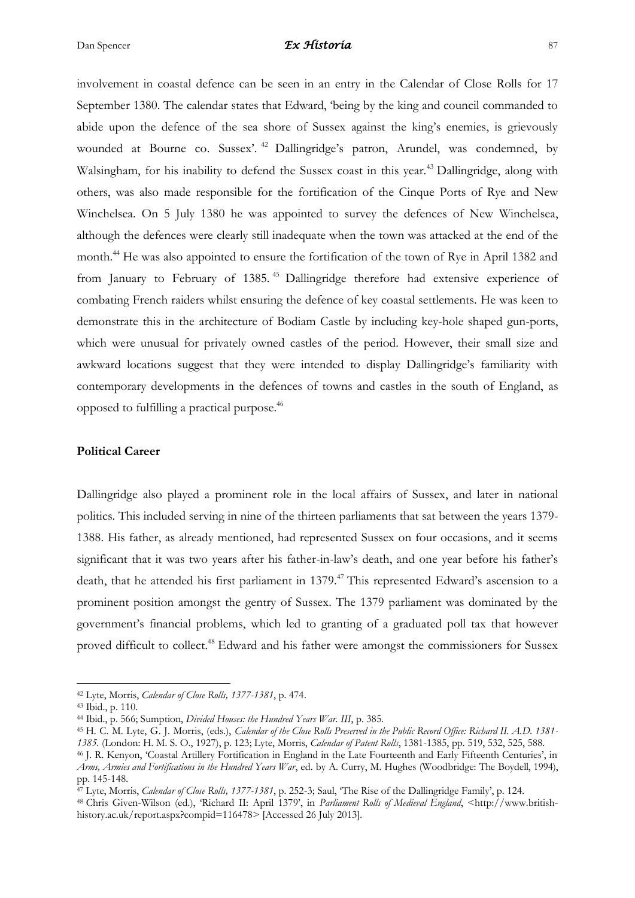involvement in coastal defence can be seen in an entry in the Calendar of Close Rolls for 17 September 1380. The calendar states that Edward, 'being by the king and council commanded to abide upon the defence of the sea shore of Sussex against the king's enemies, is grievously wounded at Bourne co. Sussex'.<sup>42</sup> Dallingridge's patron, Arundel, was condemned, by Walsingham, for his inability to defend the Sussex coast in this year.<sup>43</sup> Dallingridge, along with others, was also made responsible for the fortification of the Cinque Ports of Rye and New Winchelsea. On 5 July 1380 he was appointed to survey the defences of New Winchelsea, although the defences were clearly still inadequate when the town was attacked at the end of the month.<sup>44</sup> He was also appointed to ensure the fortification of the town of Rye in April 1382 and from January to February of 1385.<sup>45</sup> Dallingridge therefore had extensive experience of combating French raiders whilst ensuring the defence of key coastal settlements. He was keen to demonstrate this in the architecture of Bodiam Castle by including key-hole shaped gun-ports, which were unusual for privately owned castles of the period. However, their small size and awkward locations suggest that they were intended to display Dallingridge's familiarity with contemporary developments in the defences of towns and castles in the south of England, as opposed to fulfilling a practical purpose. 46

#### **Political Career**

Dallingridge also played a prominent role in the local affairs of Sussex, and later in national politics. This included serving in nine of the thirteen parliaments that sat between the years 1379- 1388. His father, as already mentioned, had represented Sussex on four occasions, and it seems significant that it was two years after his father-in-law's death, and one year before his father's death, that he attended his first parliament in 1379.<sup>47</sup> This represented Edward's ascension to a prominent position amongst the gentry of Sussex. The 1379 parliament was dominated by the government's financial problems, which led to granting of a graduated poll tax that however proved difficult to collect.<sup>48</sup> Edward and his father were amongst the commissioners for Sussex

<sup>42</sup> Lyte, Morris, *Calendar of Close Rolls, 1377-1381*, p. 474.

<sup>43</sup> Ibid., p. 110.

<sup>44</sup> Ibid., p. 566; Sumption, *Divided Houses: the Hundred Years War. III*, p. 385.

<sup>45</sup> H. C. M. Lyte, G. J. Morris, (eds.), *Calendar of the Close Rolls Preserved in the Public Record Office: Richard II. A.D. 1381- 1385.* (London: H. M. S. O., 1927), p. 123; Lyte, Morris, *Calendar of Patent Rolls*, 1381-1385, pp. 519, 532, 525, 588.

<sup>46</sup> J. R. Kenyon, 'Coastal Artillery Fortification in England in the Late Fourteenth and Early Fifteenth Centuries', in *Arms, Armies and Fortifications in the Hundred Years War*, ed. by A. Curry, M. Hughes (Woodbridge: The Boydell, 1994), pp. 145-148.

<sup>47</sup> Lyte, Morris, *Calendar of Close Rolls, 1377-1381*, p. 252-3; Saul, 'The Rise of the Dallingridge Family', p. 124.

<sup>48</sup> Chris Given-Wilson (ed.), 'Richard II: April 1379', in *Parliament Rolls of Medieval England*, <http://www.britishhistory.ac.uk/report.aspx?compid=116478> [Accessed 26 July 2013].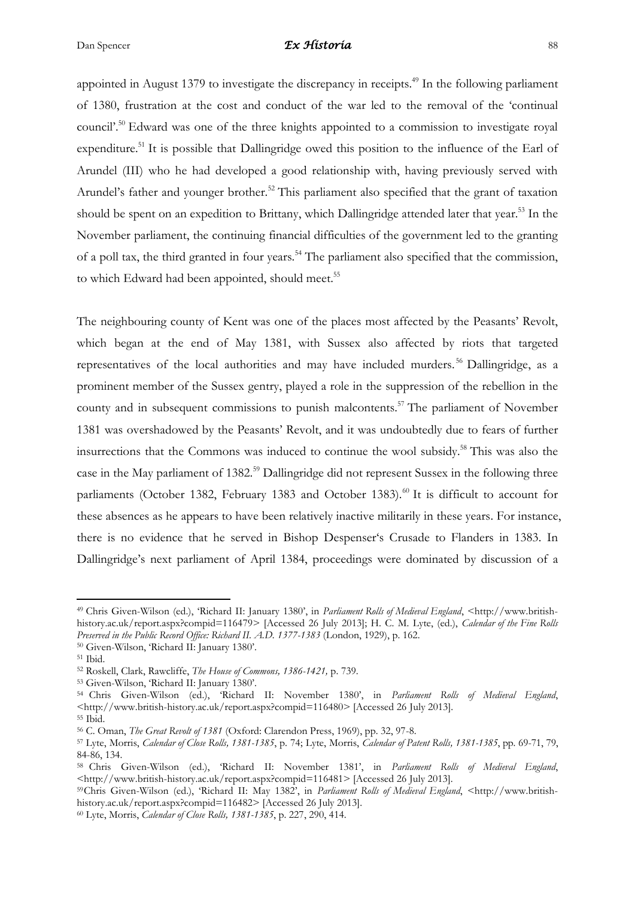appointed in August 1379 to investigate the discrepancy in receipts.<sup>49</sup> In the following parliament of 1380, frustration at the cost and conduct of the war led to the removal of the 'continual council'.<sup>50</sup> Edward was one of the three knights appointed to a commission to investigate royal expenditure.<sup>51</sup> It is possible that Dallingridge owed this position to the influence of the Earl of Arundel (III) who he had developed a good relationship with, having previously served with Arundel's father and younger brother.<sup>52</sup> This parliament also specified that the grant of taxation should be spent on an expedition to Brittany, which Dallingridge attended later that year.<sup>53</sup> In the November parliament, the continuing financial difficulties of the government led to the granting of a poll tax, the third granted in four years.<sup>54</sup> The parliament also specified that the commission, to which Edward had been appointed, should meet.<sup>55</sup>

The neighbouring county of Kent was one of the places most affected by the Peasants' Revolt, which began at the end of May 1381, with Sussex also affected by riots that targeted representatives of the local authorities and may have included murders.<sup>56</sup> Dallingridge, as a prominent member of the Sussex gentry, played a role in the suppression of the rebellion in the county and in subsequent commissions to punish malcontents.<sup>57</sup> The parliament of November 1381 was overshadowed by the Peasants' Revolt, and it was undoubtedly due to fears of further insurrections that the Commons was induced to continue the wool subsidy. <sup>58</sup> This was also the case in the May parliament of 1382.<sup>59</sup> Dallingridge did not represent Sussex in the following three parliaments (October 1382, February 1383 and October 1383).<sup>60</sup> It is difficult to account for these absences as he appears to have been relatively inactive militarily in these years. For instance, there is no evidence that he served in Bishop Despenser's Crusade to Flanders in 1383. In Dallingridge's next parliament of April 1384, proceedings were dominated by discussion of a

**.** 

<sup>49</sup> Chris Given-Wilson (ed.), 'Richard II: January 1380', in *Parliament Rolls of Medieval England*, <http://www.britishhistory.ac.uk/report.aspx?compid=116479> [Accessed 26 July 2013]; H. C. M. Lyte, (ed.), *Calendar of the Fine Rolls Preserved in the Public Record Office: Richard II. A.D. 1377-1383* (London, 1929), p. 162.

<sup>50</sup> Given-Wilson, 'Richard II: January 1380'.

<sup>51</sup> Ibid.

<sup>52</sup> Roskell, Clark, Rawcliffe, *The House of Commons, 1386-1421,* p. 739.

<sup>53</sup> Given-Wilson, 'Richard II: January 1380'.

<sup>54</sup> Chris Given-Wilson (ed.), 'Richard II: November 1380', in *Parliament Rolls of Medieval England*, <http://www.british-history.ac.uk/report.aspx?compid=116480> [Accessed 26 July 2013]. <sup>55</sup> Ibid.

<sup>56</sup> C. Oman, *The Great Revolt of 1381* (Oxford: Clarendon Press, 1969), pp. 32, 97-8.

<sup>57</sup> Lyte, Morris, *Calendar of Close Rolls, 1381-1385*, p. 74; Lyte, Morris, *Calendar of Patent Rolls, 1381-1385*, pp. 69-71, 79, 84-86, 134.

<sup>58</sup> Chris Given-Wilson (ed.), 'Richard II: November 1381', in *Parliament Rolls of Medieval England*, <http://www.british-history.ac.uk/report.aspx?compid=116481> [Accessed 26 July 2013].

<sup>59</sup>Chris Given-Wilson (ed.), 'Richard II: May 1382', in *Parliament Rolls of Medieval England*, <http://www.britishhistory.ac.uk/report.aspx?compid=116482> [Accessed 26 July 2013].

<sup>60</sup> Lyte, Morris, *Calendar of Close Rolls, 1381-1385*, p. 227, 290, 414.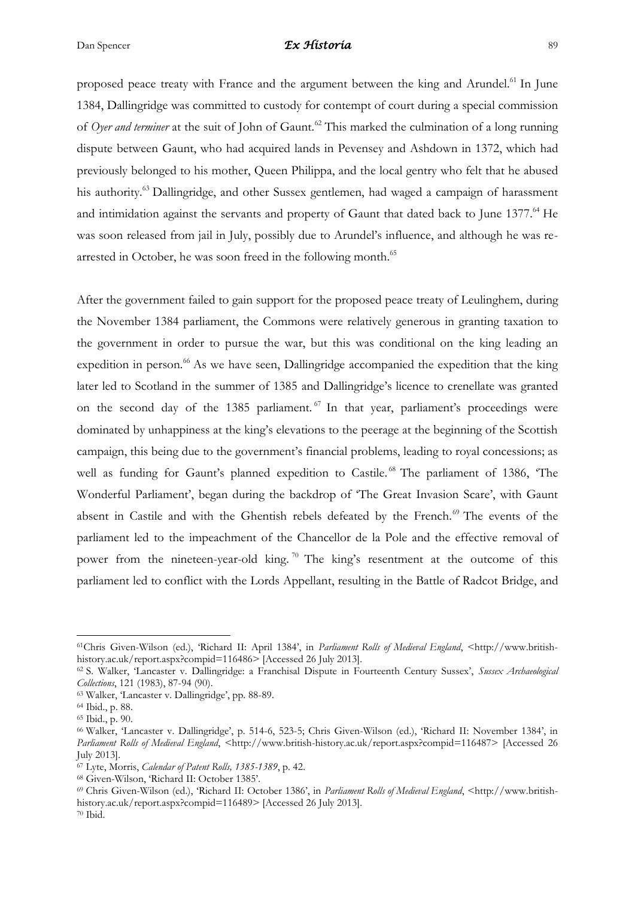proposed peace treaty with France and the argument between the king and Arundel.<sup>61</sup> In June 1384, Dallingridge was committed to custody for contempt of court during a special commission of *Oyer and terminer* at the suit of John of Gaunt.<sup>62</sup> This marked the culmination of a long running dispute between Gaunt, who had acquired lands in Pevensey and Ashdown in 1372, which had previously belonged to his mother, Queen Philippa, and the local gentry who felt that he abused his authority.<sup>63</sup> Dallingridge, and other Sussex gentlemen, had waged a campaign of harassment and intimidation against the servants and property of Gaunt that dated back to June 1377.<sup>64</sup> He was soon released from jail in July, possibly due to Arundel's influence, and although he was rearrested in October, he was soon freed in the following month.<sup>65</sup>

After the government failed to gain support for the proposed peace treaty of Leulinghem, during the November 1384 parliament, the Commons were relatively generous in granting taxation to the government in order to pursue the war, but this was conditional on the king leading an expedition in person.<sup>66</sup> As we have seen, Dallingridge accompanied the expedition that the king later led to Scotland in the summer of 1385 and Dallingridge's licence to crenellate was granted on the second day of the 1385 parliament.<sup>67</sup> In that year, parliament's proceedings were dominated by unhappiness at the king's elevations to the peerage at the beginning of the Scottish campaign, this being due to the government's financial problems, leading to royal concessions; as well as funding for Gaunt's planned expedition to Castile.<sup>68</sup> The parliament of 1386, 'The Wonderful Parliament', began during the backdrop of 'The Great Invasion Scare', with Gaunt absent in Castile and with the Ghentish rebels defeated by the French.<sup>69</sup> The events of the parliament led to the impeachment of the Chancellor de la Pole and the effective removal of power from the nineteen-year-old king. <sup>70</sup> The king's resentment at the outcome of this parliament led to conflict with the Lords Appellant, resulting in the Battle of Radcot Bridge, and

<sup>61</sup>Chris Given-Wilson (ed.), 'Richard II: April 1384', in *Parliament Rolls of Medieval England*, <http://www.britishhistory.ac.uk/report.aspx?compid=116486> [Accessed 26 July 2013].

<sup>62</sup> S. Walker, 'Lancaster v. Dallingridge: a Franchisal Dispute in Fourteenth Century Sussex', *Sussex Archaeological Collections*, 121 (1983), 87-94 (90).

<sup>63</sup> Walker, 'Lancaster v. Dallingridge', pp. 88-89.

<sup>64</sup> Ibid., p. 88.

<sup>65</sup> Ibid., p. 90.

<sup>66</sup> Walker, 'Lancaster v. Dallingridge', p. 514-6, 523-5; Chris Given-Wilson (ed.), 'Richard II: November 1384', in *Parliament Rolls of Medieval England*, <http://www.british-history.ac.uk/report.aspx?compid=116487> [Accessed 26 July 2013].

<sup>67</sup> Lyte, Morris, *Calendar of Patent Rolls, 1385-1389*, p. 42.

<sup>68</sup> Given-Wilson, 'Richard II: October 1385'.

<sup>69</sup> Chris Given-Wilson (ed.), 'Richard II: October 1386', in *Parliament Rolls of Medieval England*, <http://www.britishhistory.ac.uk/report.aspx?compid=116489> [Accessed 26 July 2013].

 $70$  Ibid.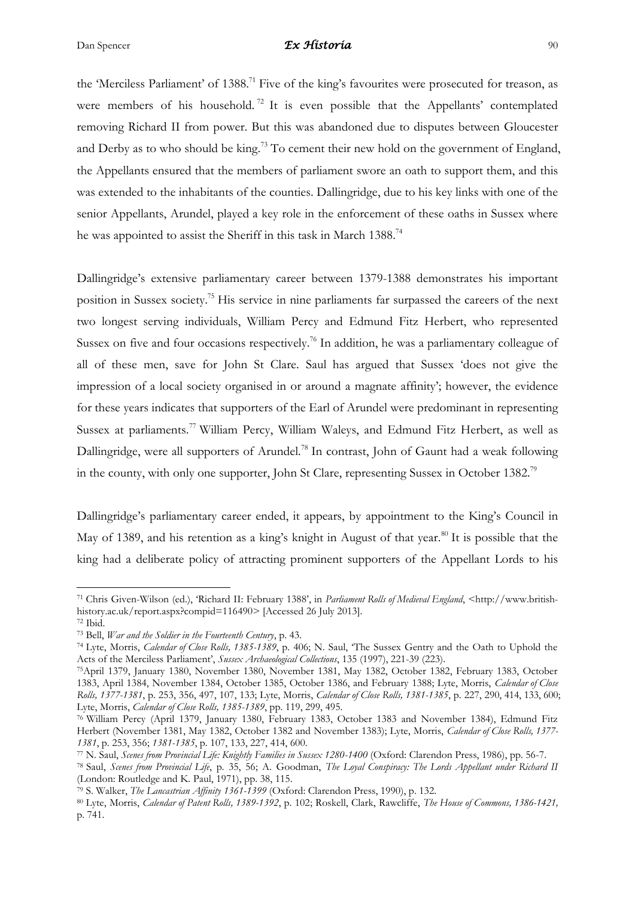the 'Merciless Parliament' of 1388.<sup>71</sup> Five of the king's favourites were prosecuted for treason, as were members of his household.<sup>72</sup> It is even possible that the Appellants' contemplated removing Richard II from power. But this was abandoned due to disputes between Gloucester and Derby as to who should be king.<sup>73</sup> To cement their new hold on the government of England, the Appellants ensured that the members of parliament swore an oath to support them, and this was extended to the inhabitants of the counties. Dallingridge, due to his key links with one of the senior Appellants, Arundel, played a key role in the enforcement of these oaths in Sussex where he was appointed to assist the Sheriff in this task in March 1388.<sup>74</sup>

Dallingridge's extensive parliamentary career between 1379-1388 demonstrates his important position in Sussex society. <sup>75</sup> His service in nine parliaments far surpassed the careers of the next two longest serving individuals, William Percy and Edmund Fitz Herbert, who represented Sussex on five and four occasions respectively.<sup>76</sup> In addition, he was a parliamentary colleague of all of these men, save for John St Clare. Saul has argued that Sussex 'does not give the impression of a local society organised in or around a magnate affinity'; however, the evidence for these years indicates that supporters of the Earl of Arundel were predominant in representing Sussex at parliaments.<sup>77</sup> William Percy, William Waleys, and Edmund Fitz Herbert, as well as Dallingridge, were all supporters of Arundel.<sup>78</sup> In contrast, John of Gaunt had a weak following in the county, with only one supporter, John St Clare, representing Sussex in October 1382.<sup>79</sup>

Dallingridge's parliamentary career ended, it appears, by appointment to the King's Council in May of 1389, and his retention as a king's knight in August of that year.<sup>80</sup> It is possible that the king had a deliberate policy of attracting prominent supporters of the Appellant Lords to his

<sup>71</sup> Chris Given-Wilson (ed.), 'Richard II: February 1388', in *Parliament Rolls of Medieval England*, <http://www.britishhistory.ac.uk/report.aspx?compid=116490> [Accessed 26 July 2013].

<sup>72</sup> Ibid.

<sup>73</sup> Bell, *War and the Soldier in the Fourteenth Century*, p. 43.

<sup>74</sup> Lyte, Morris, *Calendar of Close Rolls, 1385-1389*, p. 406; N. Saul, 'The Sussex Gentry and the Oath to Uphold the Acts of the Merciless Parliament', *Sussex Archaeological Collections*, 135 (1997), 221-39 (223).

<sup>75</sup>April 1379, January 1380, November 1380, November 1381, May 1382, October 1382, February 1383, October 1383, April 1384, November 1384, October 1385, October 1386, and February 1388; Lyte, Morris, *Calendar of Close Rolls, 1377-1381*, p. 253, 356, 497, 107, 133; Lyte, Morris, *Calendar of Close Rolls, 1381-1385*, p. 227, 290, 414, 133, 600; Lyte, Morris, *Calendar of Close Rolls, 1385-1389*, pp. 119, 299, 495.

<sup>76</sup> William Percy (April 1379, January 1380, February 1383, October 1383 and November 1384), Edmund Fitz Herbert (November 1381, May 1382, October 1382 and November 1383); Lyte, Morris, *Calendar of Close Rolls, 1377- 1381*, p. 253, 356; *1381-1385*, p. 107, 133, 227, 414, 600.

<sup>77</sup> N. Saul, *Scenes from Provincial Life: Knightly Families in Sussex 1280-1400* (Oxford: Clarendon Press, 1986), pp. 56-7.

<sup>78</sup> Saul, *Scenes from Provincial Life*, p. 35, 56; A. Goodman, *The Loyal Conspiracy: The Lords Appellant under Richard II* (London: Routledge and K. Paul, 1971), pp. 38, 115.

<sup>79</sup> S. Walker, *The Lancastrian Affinity 1361-1399* (Oxford: Clarendon Press, 1990), p. 132.

<sup>80</sup> Lyte, Morris, *Calendar of Patent Rolls, 1389-1392*, p. 102; Roskell, Clark, Rawcliffe, *The House of Commons, 1386-1421,*  p. 741.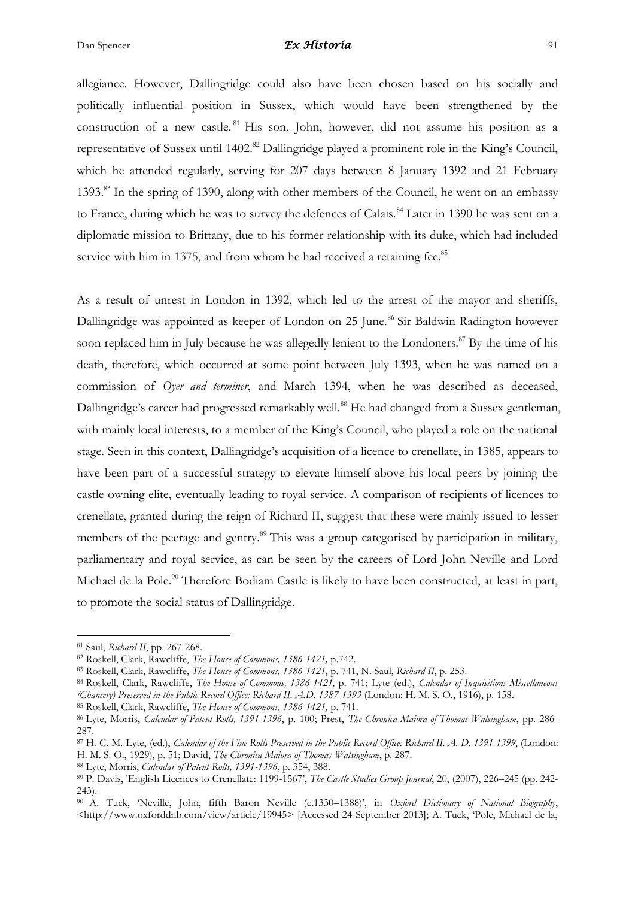allegiance. However, Dallingridge could also have been chosen based on his socially and politically influential position in Sussex, which would have been strengthened by the construction of a new castle.<sup>81</sup> His son, John, however, did not assume his position as a representative of Sussex until 1402.<sup>82</sup> Dallingridge played a prominent role in the King's Council, which he attended regularly, serving for 207 days between 8 January 1392 and 21 February 1393.<sup>83</sup> In the spring of 1390, along with other members of the Council, he went on an embassy to France, during which he was to survey the defences of Calais.<sup>84</sup> Later in 1390 he was sent on a diplomatic mission to Brittany, due to his former relationship with its duke, which had included service with him in 1375, and from whom he had received a retaining fee.<sup>85</sup>

As a result of unrest in London in 1392, which led to the arrest of the mayor and sheriffs, Dallingridge was appointed as keeper of London on 25 June.<sup>86</sup> Sir Baldwin Radington however soon replaced him in July because he was allegedly lenient to the Londoners.<sup>87</sup> By the time of his death, therefore, which occurred at some point between July 1393, when he was named on a commission of *Oyer and terminer*, and March 1394, when he was described as deceased, Dallingridge's career had progressed remarkably well.<sup>88</sup> He had changed from a Sussex gentleman, with mainly local interests, to a member of the King's Council, who played a role on the national stage. Seen in this context, Dallingridge's acquisition of a licence to crenellate, in 1385, appears to have been part of a successful strategy to elevate himself above his local peers by joining the castle owning elite, eventually leading to royal service. A comparison of recipients of licences to crenellate, granted during the reign of Richard II, suggest that these were mainly issued to lesser members of the peerage and gentry.<sup>89</sup> This was a group categorised by participation in military, parliamentary and royal service, as can be seen by the careers of Lord John Neville and Lord Michael de la Pole.<sup>90</sup> Therefore Bodiam Castle is likely to have been constructed, at least in part, to promote the social status of Dallingridge.

<sup>81</sup> Saul, *Richard II*, pp. 267-268.

<sup>82</sup> Roskell, Clark, Rawcliffe, *The House of Commons, 1386-1421,* p.742.

<sup>83</sup> Roskell, Clark, Rawcliffe, *The House of Commons, 1386-1421*, p. 741, N. Saul, *Richard II*, p. 253.

<sup>84</sup> Roskell, Clark, Rawcliffe, *The House of Commons, 1386-1421,* p. 741; Lyte (ed.), *Calendar of Inquisitions Miscellaneous (Chancery) Preserved in the Public Record Office: Richard II. A.D. 1387-1393* (London: H. M. S. O., 1916), p. 158.

<sup>85</sup> Roskell, Clark, Rawcliffe, *The House of Commons, 1386-1421,* p. 741.

<sup>86</sup> Lyte, Morris, *Calendar of Patent Rolls, 1391-1396*, p. 100; Prest, *The Chronica Maiora of Thomas Walsingham*, pp. 286- 287.

<sup>87</sup> H. C. M. Lyte, (ed.), *Calendar of the Fine Rolls Preserved in the Public Record Office: Richard II. A. D. 1391-1399*, (London: H. M. S. O., 1929), p. 51; David, *The Chronica Maiora of Thomas Walsingham*, p. 287.

<sup>88</sup> Lyte, Morris, *Calendar of Patent Rolls, 1391-1396*, p. 354, 388.

<sup>89</sup> P. Davis, 'English Licences to Crenellate: 1199-1567', *The Castle Studies Group Journal*, 20, (2007), 226–245 (pp. 242-  $243$ 

<sup>90</sup> A. Tuck, 'Neville, John, fifth Baron Neville (c.1330–1388)', in *Oxford Dictionary of National Biography*, <http://www.oxforddnb.com/view/article/19945> [Accessed 24 September 2013]; A. Tuck, 'Pole, Michael de la,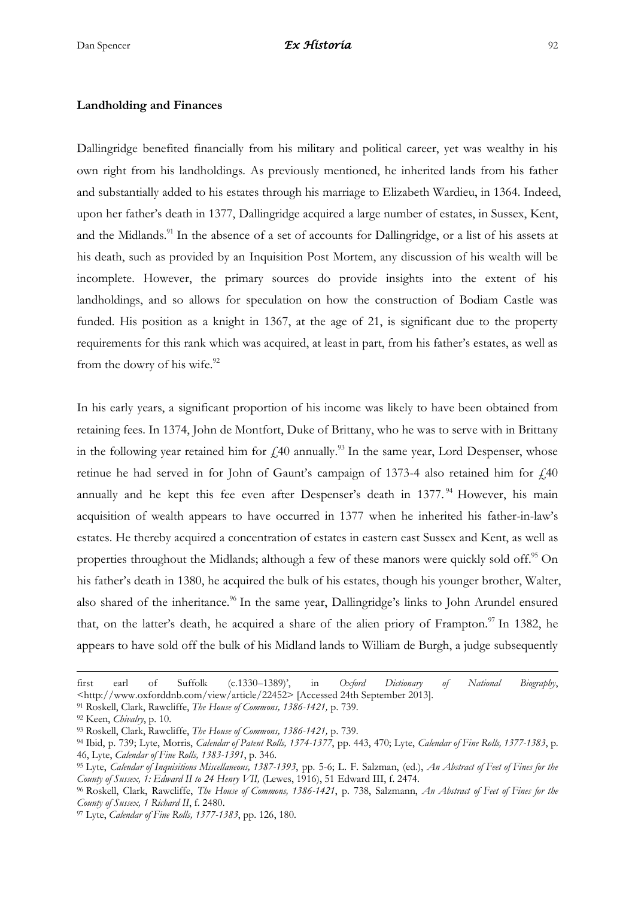#### **Landholding and Finances**

Dallingridge benefited financially from his military and political career, yet was wealthy in his own right from his landholdings. As previously mentioned, he inherited lands from his father and substantially added to his estates through his marriage to Elizabeth Wardieu, in 1364. Indeed, upon her father's death in 1377, Dallingridge acquired a large number of estates, in Sussex, Kent, and the Midlands.<sup>91</sup> In the absence of a set of accounts for Dallingridge, or a list of his assets at his death, such as provided by an Inquisition Post Mortem, any discussion of his wealth will be incomplete. However, the primary sources do provide insights into the extent of his landholdings, and so allows for speculation on how the construction of Bodiam Castle was funded. His position as a knight in 1367, at the age of 21, is significant due to the property requirements for this rank which was acquired, at least in part, from his father's estates, as well as from the dowry of his wife.<sup>92</sup>

In his early years, a significant proportion of his income was likely to have been obtained from retaining fees. In 1374, John de Montfort, Duke of Brittany, who he was to serve with in Brittany in the following year retained him for  $\text{\emph{L}}40$  annually.<sup>93</sup> In the same year, Lord Despenser, whose retinue he had served in for John of Gaunt's campaign of 1373-4 also retained him for  $\hat{140}$ annually and he kept this fee even after Despenser's death in 1377.<sup>94</sup> However, his main acquisition of wealth appears to have occurred in 1377 when he inherited his father-in-law's estates. He thereby acquired a concentration of estates in eastern east Sussex and Kent, as well as properties throughout the Midlands; although a few of these manors were quickly sold off.<sup>95</sup> On his father's death in 1380, he acquired the bulk of his estates, though his younger brother, Walter, also shared of the inheritance.<sup>96</sup> In the same year, Dallingridge's links to John Arundel ensured that, on the latter's death, he acquired a share of the alien priory of Frampton. $\frac{97}{1}$  In 1382, he appears to have sold off the bulk of his Midland lands to William de Burgh, a judge subsequently

first earl of Suffolk (c.1330–1389)', in *Oxford Dictionary of National Biography*, <http://www.oxforddnb.com/view/article/22452> [Accessed 24th September 2013].

<sup>91</sup> Roskell, Clark, Rawcliffe, *The House of Commons, 1386-1421,* p. 739.

<sup>92</sup> Keen, *Chivalry*, p. 10.

<sup>93</sup> Roskell, Clark, Rawcliffe, *The House of Commons, 1386-1421,* p. 739.

<sup>94</sup> Ibid, p. 739; Lyte, Morris, *Calendar of Patent Rolls, 1374-1377*, pp. 443, 470; Lyte, *Calendar of Fine Rolls, 1377-1383*, p. 46, Lyte, *Calendar of Fine Rolls, 1383-1391*, p. 346.

<sup>95</sup> Lyte, *Calendar of Inquisitions Miscellaneous, 1387-1393*, pp. 5-6; L. F. Salzman, (ed.), *An Abstract of Feet of Fines for the County of Sussex, 1: Edward II to 24 Henry VII,* (Lewes, 1916), 51 Edward III, f. 2474.

<sup>96</sup> Roskell, Clark, Rawcliffe, *The House of Commons, 1386-1421*, p. 738, Salzmann, *An Abstract of Feet of Fines for the County of Sussex, 1 Richard II*, f. 2480.

<sup>97</sup> Lyte, *Calendar of Fine Rolls, 1377-1383*, pp. 126, 180.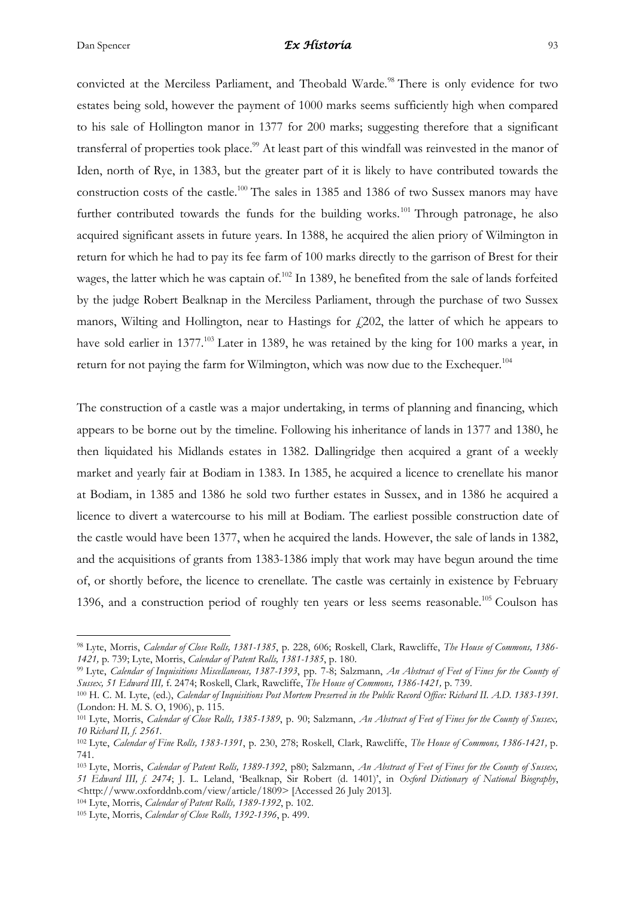1

# Dan Spencer *Ex Historia* 93

convicted at the Merciless Parliament, and Theobald Warde.<sup>98</sup> There is only evidence for two estates being sold, however the payment of 1000 marks seems sufficiently high when compared to his sale of Hollington manor in 1377 for 200 marks; suggesting therefore that a significant transferral of properties took place.<sup>99</sup> At least part of this windfall was reinvested in the manor of Iden, north of Rye, in 1383, but the greater part of it is likely to have contributed towards the construction costs of the castle.<sup>100</sup> The sales in 1385 and 1386 of two Sussex manors may have further contributed towards the funds for the building works.<sup>101</sup> Through patronage, he also acquired significant assets in future years. In 1388, he acquired the alien priory of Wilmington in return for which he had to pay its fee farm of 100 marks directly to the garrison of Brest for their wages, the latter which he was captain of.<sup>102</sup> In 1389, he benefited from the sale of lands forfeited by the judge Robert Bealknap in the Merciless Parliament, through the purchase of two Sussex manors, Wilting and Hollington, near to Hastings for  $f(202)$ , the latter of which he appears to have sold earlier in 1377.<sup>103</sup> Later in 1389, he was retained by the king for 100 marks a year, in return for not paying the farm for Wilmington, which was now due to the Exchequer.<sup>104</sup>

The construction of a castle was a major undertaking, in terms of planning and financing, which appears to be borne out by the timeline. Following his inheritance of lands in 1377 and 1380, he then liquidated his Midlands estates in 1382. Dallingridge then acquired a grant of a weekly market and yearly fair at Bodiam in 1383. In 1385, he acquired a licence to crenellate his manor at Bodiam, in 1385 and 1386 he sold two further estates in Sussex, and in 1386 he acquired a licence to divert a watercourse to his mill at Bodiam. The earliest possible construction date of the castle would have been 1377, when he acquired the lands. However, the sale of lands in 1382, and the acquisitions of grants from 1383-1386 imply that work may have begun around the time of, or shortly before, the licence to crenellate. The castle was certainly in existence by February 1396, and a construction period of roughly ten years or less seems reasonable.<sup>105</sup> Coulson has

<sup>98</sup> Lyte, Morris, *Calendar of Close Rolls, 1381-1385*, p. 228, 606; Roskell, Clark, Rawcliffe, *The House of Commons, 1386- 1421,* p. 739; Lyte, Morris, *Calendar of Patent Rolls, 1381-1385*, p. 180.

<sup>99</sup> Lyte, *Calendar of Inquisitions Miscellaneous, 1387-1393*, pp. 7-8; Salzmann, *An Abstract of Feet of Fines for the County of Sussex, 51 Edward III,* f. 2474; Roskell, Clark, Rawcliffe, *The House of Commons, 1386-1421,* p. 739.

<sup>100</sup> H. C. M. Lyte, (ed.), *Calendar of Inquisitions Post Mortem Preserved in the Public Record Office: Richard II. A.D. 1383-1391*. (London: H. M. S. O, 1906), p. 115.

<sup>101</sup> Lyte, Morris, *Calendar of Close Rolls, 1385-1389*, p. 90; Salzmann, *An Abstract of Feet of Fines for the County of Sussex, 10 Richard II, f. 2561.*

<sup>102</sup> Lyte, *Calendar of Fine Rolls, 1383-1391*, p. 230, 278; Roskell, Clark, Rawcliffe, *The House of Commons, 1386-1421,* p. 741.

<sup>103</sup> Lyte, Morris, *Calendar of Patent Rolls, 1389-1392*, p80; Salzmann, *An Abstract of Feet of Fines for the County of Sussex, 51 Edward III, f. 2474*; J. L. Leland, 'Bealknap, Sir Robert (d. 1401)', in *Oxford Dictionary of National Biography*, <http://www.oxforddnb.com/view/article/1809> [Accessed 26 July 2013].

<sup>104</sup> Lyte, Morris, *Calendar of Patent Rolls, 1389-1392*, p. 102.

<sup>105</sup> Lyte, Morris, *Calendar of Close Rolls, 1392-1396*, p. 499.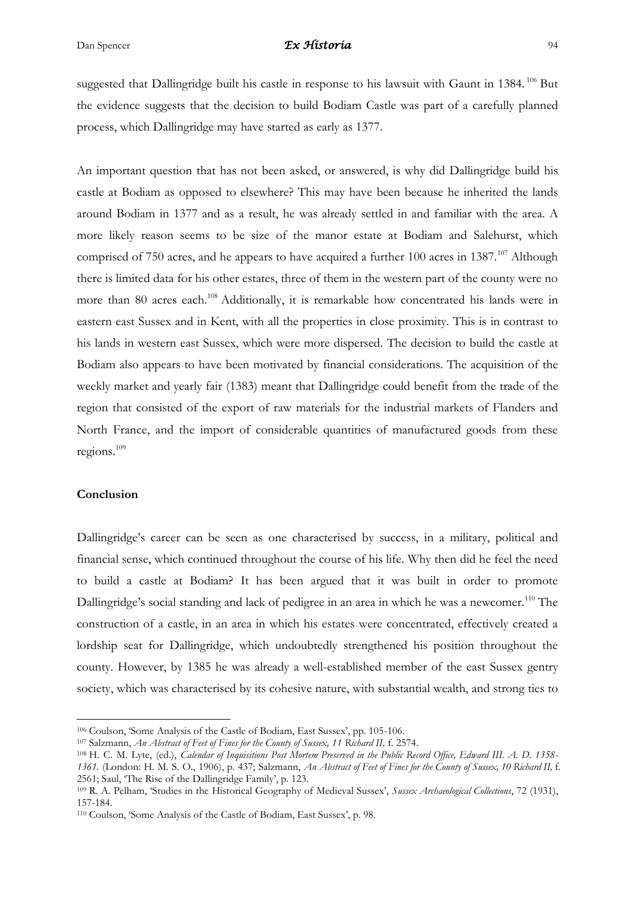suggested that Dallingridge built his castle in response to his lawsuit with Gaunt in 1384.<sup>106</sup> But the evidence suggests that the decision to build Bodiam Castle was part of a carefully planned process, which Dallingridge may have started as early as 1377.

An important question that has not been asked, or answered, is why did Dallingridge build his castle at Bodiam as opposed to elsewhere? This may have been because he inherited the lands around Bodiam in 1377 and as a result, he was already settled in and familiar with the area. A more likely reason seems to be size of the manor estate at Bodiam and Salehurst, which comprised of 750 acres, and he appears to have acquired a further 100 acres in 1387.<sup>107</sup> Although there is limited data for his other estates, three of them in the western part of the county were no more than 80 acres each.<sup>108</sup> Additionally, it is remarkable how concentrated his lands were in eastern east Sussex and in Kent, with all the properties in close proximity. This is in contrast to his lands in western east Sussex, which were more dispersed. The decision to build the castle at Bodiam also appears to have been motivated by financial considerations. The acquisition of the weekly market and yearly fair (1383) meant that Dallingridge could benefit from the trade of the region that consisted of the export of raw materials for the industrial markets of Flanders and North France, and the import of considerable quantities of manufactured goods from these regions.<sup>109</sup>

#### **Conclusion**

1

Dallingridge's career can be seen as one characterised by success, in a military, political and financial sense, which continued throughout the course of his life. Why then did he feel the need to build a castle at Bodiam? It has been argued that it was built in order to promote Dallingridge's social standing and lack of pedigree in an area in which he was a newcomer.<sup>110</sup> The construction of a castle, in an area in which his estates were concentrated, effectively created a lordship seat for Dallingridge, which undoubtedly strengthened his position throughout the county. However, by 1385 he was already a well-established member of the east Sussex gentry society, which was characterised by its cohesive nature, with substantial wealth, and strong ties to

<sup>106</sup> Coulson, 'Some Analysis of the Castle of Bodiam, East Sussex', pp. 105-106.

<sup>&</sup>lt;sup>107</sup> Salzmann, *An Abstract of Feet of Fines for the County of Sussex, 11 Richard II, f.* 2574.

<sup>108</sup> H. C. M. Lyte, (ed.), *Calendar of Inquisitions Post Mortem Preserved in the Public Record Office, Edward III. A. D. 1358- 1361.* (London: H. M. S. O., 1906), p. 437; Salzmann, *An Abstract of Feet of Fines for the County of Sussex, 10 Richard II,* f. 2561; Saul, 'The Rise of the Dallingridge Family', p. 123.

<sup>109</sup> R. A. Pelham, 'Studies in the Historical Geography of Medieval Sussex', *Sussex Archaeological Collections*, 72 (1931), 157-184.

<sup>110</sup> Coulson, 'Some Analysis of the Castle of Bodiam, East Sussex', p. 98.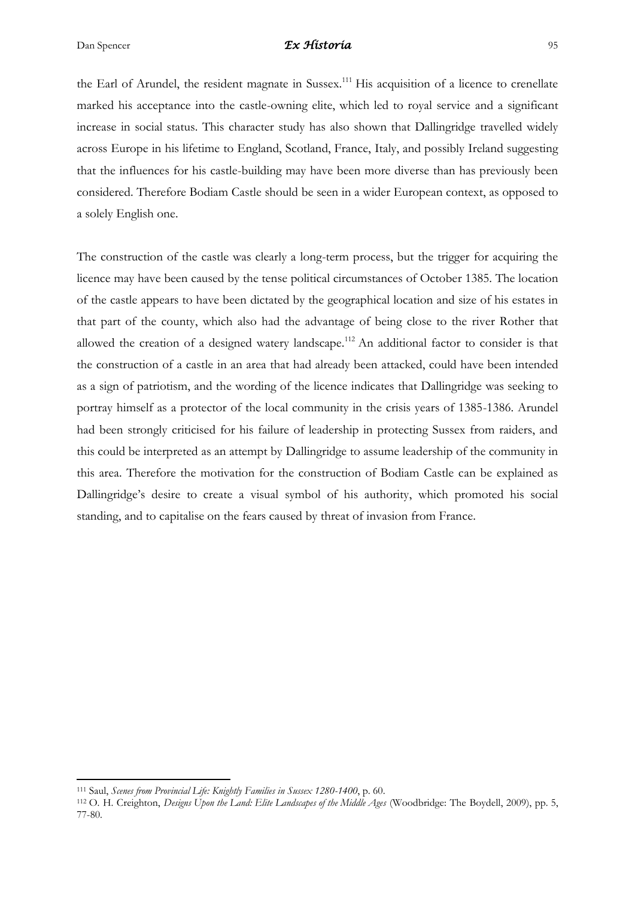the Earl of Arundel, the resident magnate in Sussex.<sup>111</sup> His acquisition of a licence to crenellate marked his acceptance into the castle-owning elite, which led to royal service and a significant increase in social status. This character study has also shown that Dallingridge travelled widely across Europe in his lifetime to England, Scotland, France, Italy, and possibly Ireland suggesting that the influences for his castle-building may have been more diverse than has previously been considered. Therefore Bodiam Castle should be seen in a wider European context, as opposed to a solely English one.

The construction of the castle was clearly a long-term process, but the trigger for acquiring the licence may have been caused by the tense political circumstances of October 1385. The location of the castle appears to have been dictated by the geographical location and size of his estates in that part of the county, which also had the advantage of being close to the river Rother that allowed the creation of a designed watery landscape.<sup>112</sup> An additional factor to consider is that the construction of a castle in an area that had already been attacked, could have been intended as a sign of patriotism, and the wording of the licence indicates that Dallingridge was seeking to portray himself as a protector of the local community in the crisis years of 1385-1386. Arundel had been strongly criticised for his failure of leadership in protecting Sussex from raiders, and this could be interpreted as an attempt by Dallingridge to assume leadership of the community in this area. Therefore the motivation for the construction of Bodiam Castle can be explained as Dallingridge's desire to create a visual symbol of his authority, which promoted his social standing, and to capitalise on the fears caused by threat of invasion from France.

 $\overline{a}$ 

<sup>111</sup> Saul, *Scenes from Provincial Life: Knightly Families in Sussex 1280-1400*, p. 60.

<sup>112</sup> O. H. Creighton, *Designs Upon the Land: Elite Landscapes of the Middle Ages* (Woodbridge: The Boydell, 2009), pp. 5, 77-80.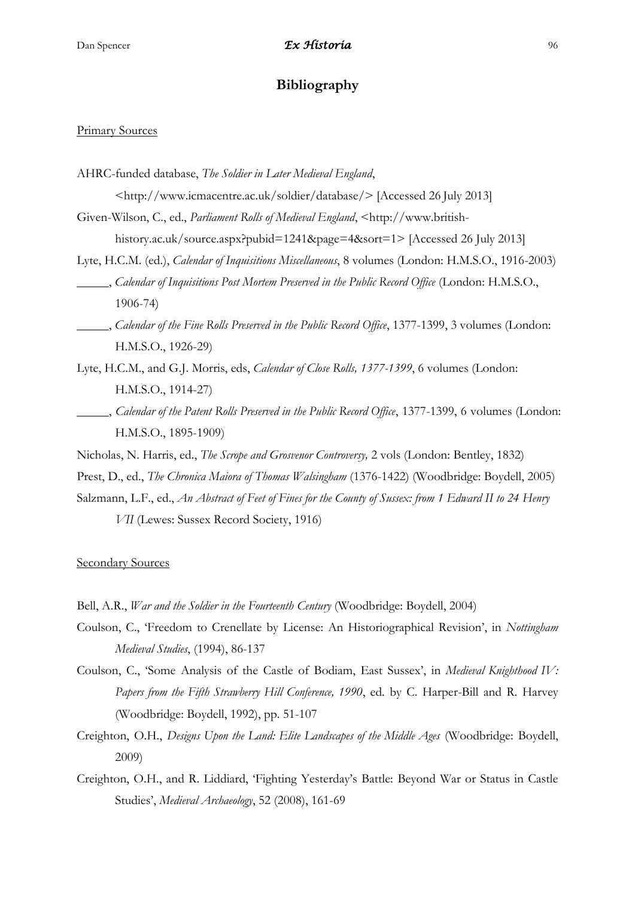# **Bibliography**

#### Primary Sources

- AHRC-funded database, *The Soldier in Later Medieval England*,
	- <http://www.icmacentre.ac.uk/soldier/database/> [Accessed 26 July 2013]
- Given-Wilson, C., ed., *Parliament Rolls of Medieval England*, <http://www.britishhistory.ac.uk/source.aspx?pubid=1241&page=4&sort=1> [Accessed 26 July 2013]
- Lyte, H.C.M. (ed.), *Calendar of Inquisitions Miscellaneous*, 8 volumes (London: H.M.S.O., 1916-2003) \_\_\_\_\_, *Calendar of Inquisitions Post Mortem Preserved in the Public Record Office* (London: H.M.S.O., 1906-74)
- \_\_\_\_\_, *Calendar of the Fine Rolls Preserved in the Public Record Office*, 1377-1399, 3 volumes (London: H.M.S.O., 1926-29)
- Lyte, H.C.M., and G.J. Morris, eds, *Calendar of Close Rolls, 1377-1399*, 6 volumes (London: H.M.S.O., 1914-27)
- \_\_\_\_\_, *Calendar of the Patent Rolls Preserved in the Public Record Office*, 1377-1399, 6 volumes (London: H.M.S.O., 1895-1909)
- Nicholas, N. Harris, ed., *The Scrope and Grosvenor Controversy,* 2 vols (London: Bentley, 1832)
- Prest, D., ed., *The Chronica Maiora of Thomas Walsingham* (1376-1422) (Woodbridge: Boydell, 2005)
- Salzmann, L.F., ed., *An Abstract of Feet of Fines for the County of Sussex: from 1 Edward II to 24 Henry* 
	- *VII* (Lewes: Sussex Record Society, 1916)

Secondary Sources

- Bell, A.R., *War and the Soldier in the Fourteenth Century* (Woodbridge: Boydell, 2004)
- Coulson, C., 'Freedom to Crenellate by License: An Historiographical Revision', in *Nottingham Medieval Studies*, (1994), 86-137
- Coulson, C., 'Some Analysis of the Castle of Bodiam, East Sussex', in *Medieval Knighthood IV: Papers from the Fifth Strawberry Hill Conference, 1990*, ed. by C. Harper-Bill and R. Harvey (Woodbridge: Boydell, 1992), pp. 51-107
- Creighton, O.H., *Designs Upon the Land: Elite Landscapes of the Middle Ages* (Woodbridge: Boydell, 2009)
- Creighton, O.H., and R. Liddiard, 'Fighting Yesterday's Battle: Beyond War or Status in Castle Studies', *Medieval Archaeology*, 52 (2008), 161-69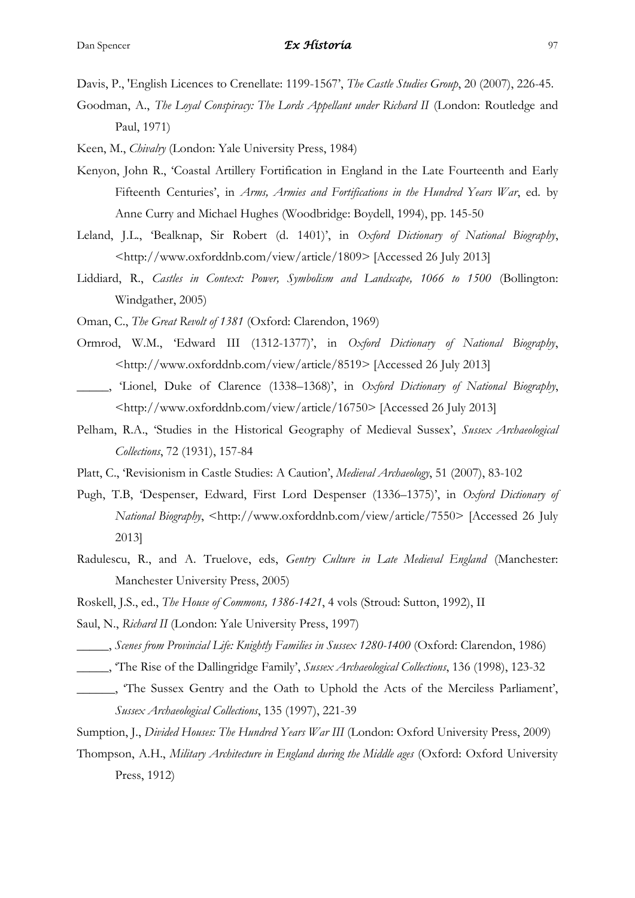Davis, P., 'English Licences to Crenellate: 1199-1567', *The Castle Studies Group*, 20 (2007), 226-45.

- Goodman, A., *The Loyal Conspiracy: The Lords Appellant under Richard II* (London: Routledge and Paul, 1971)
- Keen, M., *Chivalry* (London: Yale University Press, 1984)
- Kenyon, John R., 'Coastal Artillery Fortification in England in the Late Fourteenth and Early Fifteenth Centuries', in *Arms, Armies and Fortifications in the Hundred Years War*, ed. by Anne Curry and Michael Hughes (Woodbridge: Boydell, 1994), pp. 145-50
- Leland, J.L., 'Bealknap, Sir Robert (d. 1401)', in *Oxford Dictionary of National Biography*, <http://www.oxforddnb.com/view/article/1809> [Accessed 26 July 2013]
- Liddiard, R., *Castles in Context: Power, Symbolism and Landscape, 1066 to 1500* (Bollington: Windgather, 2005)
- Oman, C., *The Great Revolt of 1381* (Oxford: Clarendon, 1969)
- Ormrod, W.M., 'Edward III (1312-1377)', in *Oxford Dictionary of National Biography*, <http://www.oxforddnb.com/view/article/8519> [Accessed 26 July 2013]
- \_\_\_\_\_, 'Lionel, Duke of Clarence (1338–1368)', in *Oxford Dictionary of National Biography*, <http://www.oxforddnb.com/view/article/16750> [Accessed 26 July 2013]
- Pelham, R.A., 'Studies in the Historical Geography of Medieval Sussex', *Sussex Archaeological Collections*, 72 (1931), 157-84
- Platt, C., 'Revisionism in Castle Studies: A Caution', *Medieval Archaeology*, 51 (2007), 83-102
- Pugh, T.B, 'Despenser, Edward, First Lord Despenser (1336–1375)', in *Oxford Dictionary of National Biography*, <http://www.oxforddnb.com/view/article/7550> [Accessed 26 July 2013]
- Radulescu, R., and A. Truelove, eds, *Gentry Culture in Late Medieval England* (Manchester: Manchester University Press, 2005)
- Roskell, J.S., ed., *The House of Commons, 1386-1421*, 4 vols (Stroud: Sutton, 1992), II
- Saul, N., *Richard II* (London: Yale University Press, 1997)
- \_\_\_\_\_, *Scenes from Provincial Life: Knightly Families in Sussex 1280-1400* (Oxford: Clarendon, 1986)
- \_\_\_\_\_, 'The Rise of the Dallingridge Family', *Sussex Archaeological Collections*, 136 (1998), 123-32
- The Sussex Gentry and the Oath to Uphold the Acts of the Merciless Parliament', *Sussex Archaeological Collections*, 135 (1997), 221-39
- Sumption, J., *Divided Houses: The Hundred Years War III* (London: Oxford University Press, 2009)
- Thompson, A.H., *Military Architecture in England during the Middle ages* (Oxford: Oxford University Press, 1912)